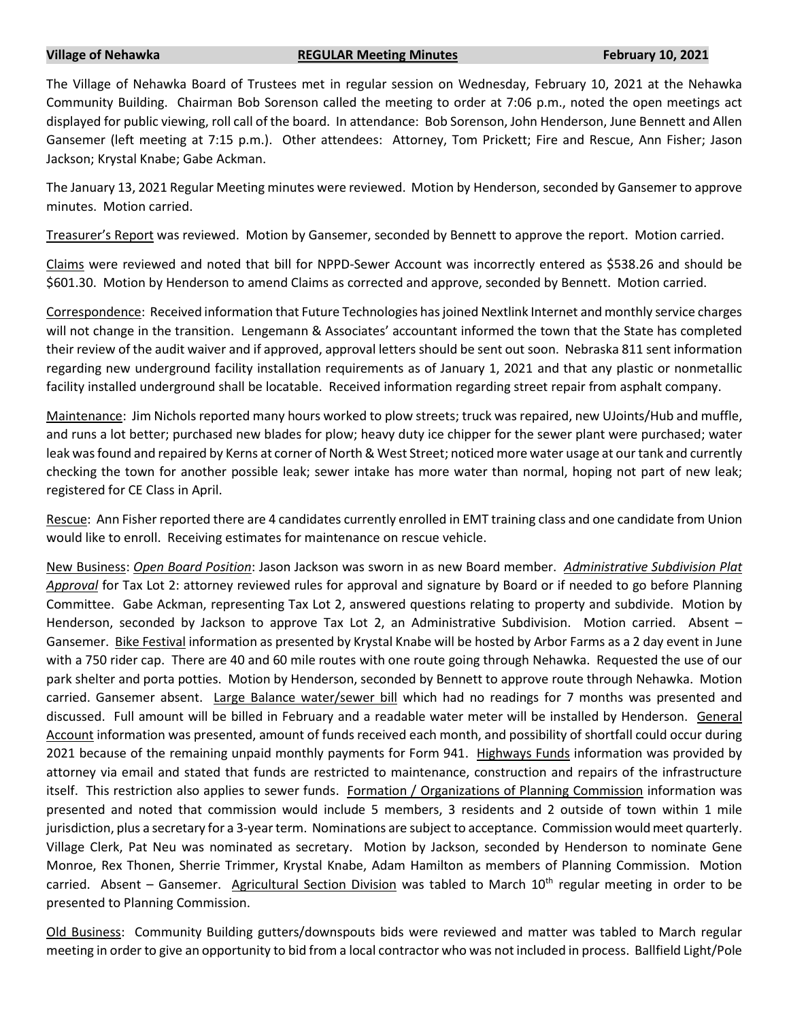## **Village of Nehawka REGULAR Meeting Minutes February 10, 2021**

The Village of Nehawka Board of Trustees met in regular session on Wednesday, February 10, 2021 at the Nehawka Community Building. Chairman Bob Sorenson called the meeting to order at 7:06 p.m., noted the open meetings act displayed for public viewing, roll call of the board. In attendance: Bob Sorenson, John Henderson, June Bennett and Allen Gansemer (left meeting at 7:15 p.m.). Other attendees: Attorney, Tom Prickett; Fire and Rescue, Ann Fisher; Jason Jackson; Krystal Knabe; Gabe Ackman.

The January 13, 2021 Regular Meeting minutes were reviewed. Motion by Henderson, seconded by Gansemer to approve minutes. Motion carried.

Treasurer's Report was reviewed. Motion by Gansemer, seconded by Bennett to approve the report. Motion carried.

Claims were reviewed and noted that bill for NPPD-Sewer Account was incorrectly entered as \$538.26 and should be \$601.30. Motion by Henderson to amend Claims as corrected and approve, seconded by Bennett. Motion carried.

Correspondence: Received information that Future Technologies has joined Nextlink Internet and monthly service charges will not change in the transition. Lengemann & Associates' accountant informed the town that the State has completed their review of the audit waiver and if approved, approval letters should be sent out soon. Nebraska 811 sent information regarding new underground facility installation requirements as of January 1, 2021 and that any plastic or nonmetallic facility installed underground shall be locatable. Received information regarding street repair from asphalt company.

Maintenance: Jim Nichols reported many hours worked to plow streets; truck was repaired, new UJoints/Hub and muffle, and runs a lot better; purchased new blades for plow; heavy duty ice chipper for the sewer plant were purchased; water leak was found and repaired by Kerns at corner of North & West Street; noticed more water usage at our tank and currently checking the town for another possible leak; sewer intake has more water than normal, hoping not part of new leak; registered for CE Class in April.

Rescue: Ann Fisher reported there are 4 candidates currently enrolled in EMT training class and one candidate from Union would like to enroll. Receiving estimates for maintenance on rescue vehicle.

New Business: *Open Board Position*: Jason Jackson was sworn in as new Board member. *Administrative Subdivision Plat Approval* for Tax Lot 2: attorney reviewed rules for approval and signature by Board or if needed to go before Planning Committee. Gabe Ackman, representing Tax Lot 2, answered questions relating to property and subdivide. Motion by Henderson, seconded by Jackson to approve Tax Lot 2, an Administrative Subdivision. Motion carried. Absent -Gansemer. Bike Festival information as presented by Krystal Knabe will be hosted by Arbor Farms as a 2 day event in June with a 750 rider cap. There are 40 and 60 mile routes with one route going through Nehawka. Requested the use of our park shelter and porta potties. Motion by Henderson, seconded by Bennett to approve route through Nehawka. Motion carried. Gansemer absent. Large Balance water/sewer bill which had no readings for 7 months was presented and discussed. Full amount will be billed in February and a readable water meter will be installed by Henderson. General Account information was presented, amount of funds received each month, and possibility of shortfall could occur during 2021 because of the remaining unpaid monthly payments for Form 941. Highways Funds information was provided by attorney via email and stated that funds are restricted to maintenance, construction and repairs of the infrastructure itself. This restriction also applies to sewer funds. Formation / Organizations of Planning Commission information was presented and noted that commission would include 5 members, 3 residents and 2 outside of town within 1 mile jurisdiction, plus a secretary for a 3-year term. Nominations are subject to acceptance. Commission would meet quarterly. Village Clerk, Pat Neu was nominated as secretary. Motion by Jackson, seconded by Henderson to nominate Gene Monroe, Rex Thonen, Sherrie Trimmer, Krystal Knabe, Adam Hamilton as members of Planning Commission. Motion carried. Absent – Gansemer. Agricultural Section Division was tabled to March 10<sup>th</sup> regular meeting in order to be presented to Planning Commission.

Old Business: Community Building gutters/downspouts bids were reviewed and matter was tabled to March regular meeting in order to give an opportunity to bid from a local contractor who was not included in process. Ballfield Light/Pole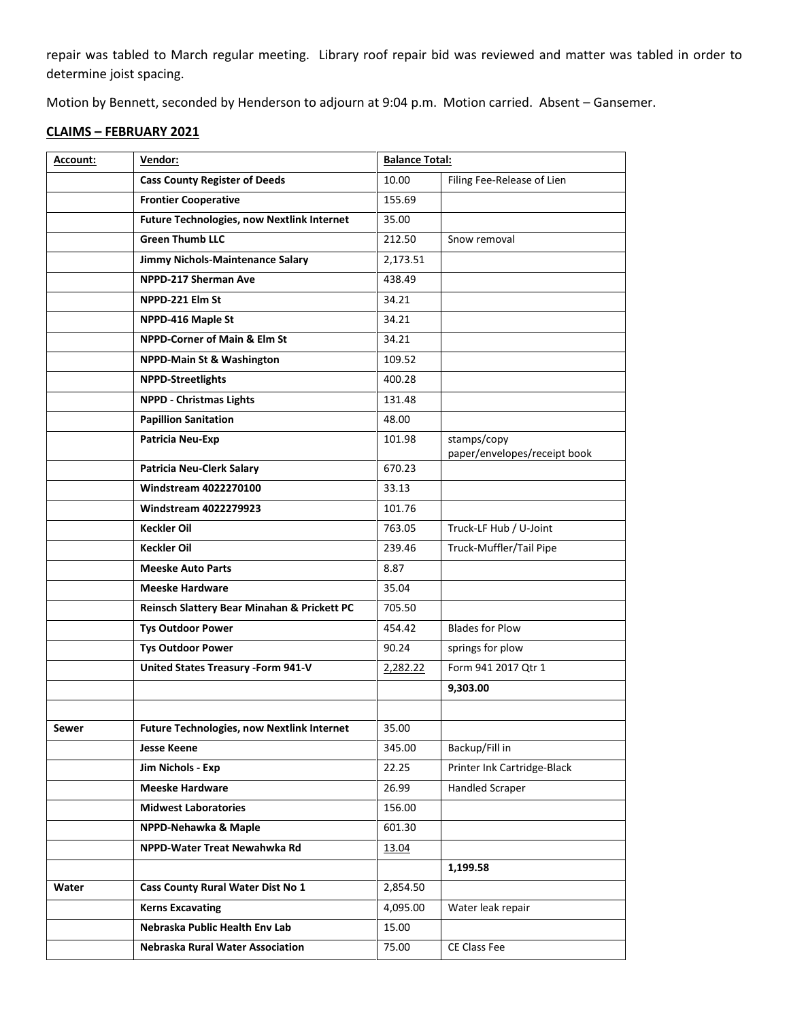repair was tabled to March regular meeting. Library roof repair bid was reviewed and matter was tabled in order to determine joist spacing.

Motion by Bennett, seconded by Henderson to adjourn at 9:04 p.m. Motion carried. Absent – Gansemer.

## **CLAIMS – FEBRUARY 2021**

| Account: | Vendor:                                           | <b>Balance Total:</b> |                                             |
|----------|---------------------------------------------------|-----------------------|---------------------------------------------|
|          | <b>Cass County Register of Deeds</b>              | 10.00                 | Filing Fee-Release of Lien                  |
|          | <b>Frontier Cooperative</b>                       | 155.69                |                                             |
|          | <b>Future Technologies, now Nextlink Internet</b> | 35.00                 |                                             |
|          | <b>Green Thumb LLC</b>                            | 212.50                | Snow removal                                |
|          | Jimmy Nichols-Maintenance Salary                  | 2,173.51              |                                             |
|          | NPPD-217 Sherman Ave                              | 438.49                |                                             |
|          | NPPD-221 Elm St                                   | 34.21                 |                                             |
|          | NPPD-416 Maple St                                 | 34.21                 |                                             |
|          | <b>NPPD-Corner of Main &amp; Elm St</b>           | 34.21                 |                                             |
|          | <b>NPPD-Main St &amp; Washington</b>              | 109.52                |                                             |
|          | <b>NPPD-Streetlights</b>                          | 400.28                |                                             |
|          | <b>NPPD - Christmas Lights</b>                    | 131.48                |                                             |
|          | <b>Papillion Sanitation</b>                       | 48.00                 |                                             |
|          | Patricia Neu-Exp                                  | 101.98                | stamps/copy<br>paper/envelopes/receipt book |
|          | <b>Patricia Neu-Clerk Salary</b>                  | 670.23                |                                             |
|          | <b>Windstream 4022270100</b>                      | 33.13                 |                                             |
|          | <b>Windstream 4022279923</b>                      | 101.76                |                                             |
|          | <b>Keckler Oil</b>                                | 763.05                | Truck-LF Hub / U-Joint                      |
|          | <b>Keckler Oil</b>                                | 239.46                | Truck-Muffler/Tail Pipe                     |
|          | <b>Meeske Auto Parts</b>                          | 8.87                  |                                             |
|          | <b>Meeske Hardware</b>                            | 35.04                 |                                             |
|          | Reinsch Slattery Bear Minahan & Prickett PC       | 705.50                |                                             |
|          | <b>Tys Outdoor Power</b>                          | 454.42                | <b>Blades for Plow</b>                      |
|          | <b>Tys Outdoor Power</b>                          | 90.24                 | springs for plow                            |
|          | <b>United States Treasury -Form 941-V</b>         | 2,282.22              | Form 941 2017 Qtr 1                         |
|          |                                                   |                       | 9,303.00                                    |
|          |                                                   |                       |                                             |
| Sewer    | <b>Future Technologies, now Nextlink Internet</b> | 35.00                 |                                             |
|          | <b>Jesse Keene</b>                                | 345.00                | Backup/Fill in                              |
|          | Jim Nichols - Exp                                 | 22.25                 | Printer Ink Cartridge-Black                 |
|          | <b>Meeske Hardware</b>                            | 26.99                 | <b>Handled Scraper</b>                      |
|          | <b>Midwest Laboratories</b>                       | 156.00                |                                             |
|          | NPPD-Nehawka & Maple                              | 601.30                |                                             |
|          | NPPD-Water Treat Newahwka Rd                      | 13.04                 |                                             |
|          |                                                   |                       | 1,199.58                                    |
| Water    | Cass County Rural Water Dist No 1                 | 2,854.50              |                                             |
|          | <b>Kerns Excavating</b>                           | 4,095.00              | Water leak repair                           |
|          | Nebraska Public Health Env Lab                    | 15.00                 |                                             |
|          | Nebraska Rural Water Association                  | 75.00                 | CE Class Fee                                |